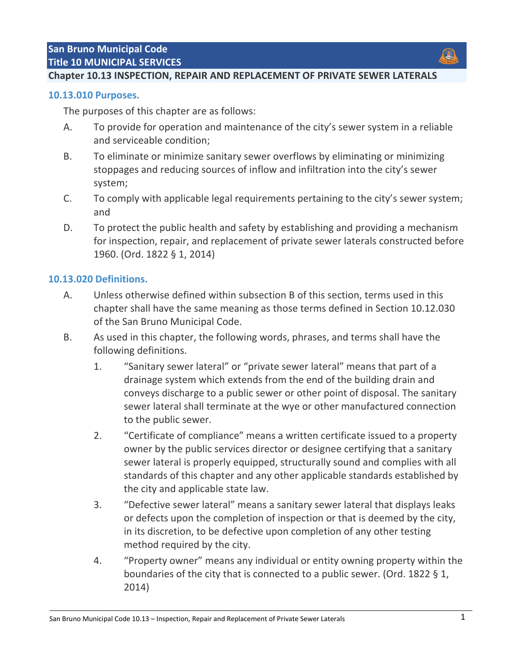# **Chapter 10.13 INSPECTION, REPAIR AND REPLACEMENT OF PRIVATE SEWER LATERALS**

### **[10.13.010 Purposes.](http://qcode.us/codes/sanbruno/view.php?topic=10-10_13-10_13_010)**

The purposes of this chapter are as follows:

- A. To provide for operation and maintenance of the city's sewer system in a reliable and serviceable condition;
- B. To eliminate or minimize sanitary sewer overflows by eliminating or minimizing stoppages and reducing sources of inflow and infiltration into the city's sewer system;
- C. To comply with applicable legal requirements pertaining to the city's sewer system; and
- D. To protect the public health and safety by establishing and providing a mechanism for inspection, repair, and replacement of private sewer laterals constructed before 1960. (Ord. 1822 § 1, 2014)

## **[10.13.020 Definitions.](http://qcode.us/codes/sanbruno/view.php?topic=10-10_13-10_13_020)**

- A. Unless otherwise defined within subsection B of this section, terms used in this chapter shall have the same meaning as those terms defined in Section 10.12.030 of the San Bruno Municipal Code.
- B. As used in this chapter, the following words, phrases, and terms shall have the following definitions.
	- 1. "Sanitary sewer lateral" or "private sewer lateral" means that part of a drainage system which extends from the end of the building drain and conveys discharge to a public sewer or other point of disposal. The sanitary sewer lateral shall terminate at the wye or other manufactured connection to the public sewer.
	- 2. "Certificate of compliance" means a written certificate issued to a property owner by the public services director or designee certifying that a sanitary sewer lateral is properly equipped, structurally sound and complies with all standards of this chapter and any other applicable standards established by the city and applicable state law.
	- 3. "Defective sewer lateral" means a sanitary sewer lateral that displays leaks or defects upon the completion of inspection or that is deemed by the city, in its discretion, to be defective upon completion of any other testing method required by the city.
	- 4. "Property owner" means any individual or entity owning property within the boundaries of the city that is connected to a public sewer. (Ord. 1822 § 1, 2014)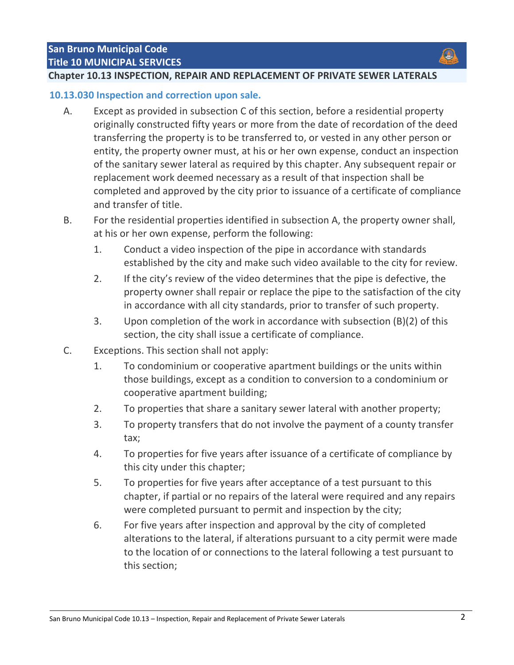## **Chapter 10.13 INSPECTION, REPAIR AND REPLACEMENT OF PRIVATE SEWER LATERALS**

#### **[10.13.030 Inspection and correction upon sale.](http://qcode.us/codes/sanbruno/view.php?topic=10-10_13-10_13_030)**

- A. Except as provided in subsection C of this section, before a residential property originally constructed fifty years or more from the date of recordation of the deed transferring the property is to be transferred to, or vested in any other person or entity, the property owner must, at his or her own expense, conduct an inspection of the sanitary sewer lateral as required by this chapter. Any subsequent repair or replacement work deemed necessary as a result of that inspection shall be completed and approved by the city prior to issuance of a certificate of compliance and transfer of title.
- B. For the residential properties identified in subsection A, the property owner shall, at his or her own expense, perform the following:
	- 1. Conduct a video inspection of the pipe in accordance with standards established by the city and make such video available to the city for review.
	- 2. If the city's review of the video determines that the pipe is defective, the property owner shall repair or replace the pipe to the satisfaction of the city in accordance with all city standards, prior to transfer of such property.
	- 3. Upon completion of the work in accordance with subsection (B)(2) of this section, the city shall issue a certificate of compliance.
- C. Exceptions. This section shall not apply:
	- 1. To condominium or cooperative apartment buildings or the units within those buildings, except as a condition to conversion to a condominium or cooperative apartment building;
	- 2. To properties that share a sanitary sewer lateral with another property;
	- 3. To property transfers that do not involve the payment of a county transfer tax;
	- 4. To properties for five years after issuance of a certificate of compliance by this city under this chapter;
	- 5. To properties for five years after acceptance of a test pursuant to this chapter, if partial or no repairs of the lateral were required and any repairs were completed pursuant to permit and inspection by the city;
	- 6. For five years after inspection and approval by the city of completed alterations to the lateral, if alterations pursuant to a city permit were made to the location of or connections to the lateral following a test pursuant to this section;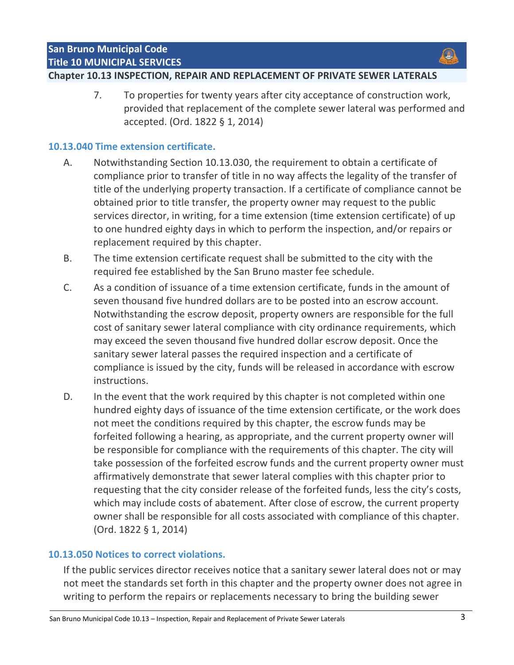# **Chapter 10.13 INSPECTION, REPAIR AND REPLACEMENT OF PRIVATE SEWER LATERALS**

7. To properties for twenty years after city acceptance of construction work, provided that replacement of the complete sewer lateral was performed and accepted. (Ord. 1822 § 1, 2014)

# **[10.13.040 Time extension certificate.](http://qcode.us/codes/sanbruno/view.php?topic=10-10_13-10_13_040)**

- A. Notwithstanding Section 10.13.030, the requirement to obtain a certificate of compliance prior to transfer of title in no way affects the legality of the transfer of title of the underlying property transaction. If a certificate of compliance cannot be obtained prior to title transfer, the property owner may request to the public services director, in writing, for a time extension (time extension certificate) of up to one hundred eighty days in which to perform the inspection, and/or repairs or replacement required by this chapter.
- B. The time extension certificate request shall be submitted to the city with the required fee established by the San Bruno master fee schedule.
- C. As a condition of issuance of a time extension certificate, funds in the amount of seven thousand five hundred dollars are to be posted into an escrow account. Notwithstanding the escrow deposit, property owners are responsible for the full cost of sanitary sewer lateral compliance with city ordinance requirements, which may exceed the seven thousand five hundred dollar escrow deposit. Once the sanitary sewer lateral passes the required inspection and a certificate of compliance is issued by the city, funds will be released in accordance with escrow instructions.
- D. In the event that the work required by this chapter is not completed within one hundred eighty days of issuance of the time extension certificate, or the work does not meet the conditions required by this chapter, the escrow funds may be forfeited following a hearing, as appropriate, and the current property owner will be responsible for compliance with the requirements of this chapter. The city will take possession of the forfeited escrow funds and the current property owner must affirmatively demonstrate that sewer lateral complies with this chapter prior to requesting that the city consider release of the forfeited funds, less the city's costs, which may include costs of abatement. After close of escrow, the current property owner shall be responsible for all costs associated with compliance of this chapter. (Ord. 1822 § 1, 2014)

# **[10.13.050 Notices to correct violations.](http://qcode.us/codes/sanbruno/view.php?topic=10-10_13-10_13_050)**

If the public services director receives notice that a sanitary sewer lateral does not or may not meet the standards set forth in this chapter and the property owner does not agree in writing to perform the repairs or replacements necessary to bring the building sewer